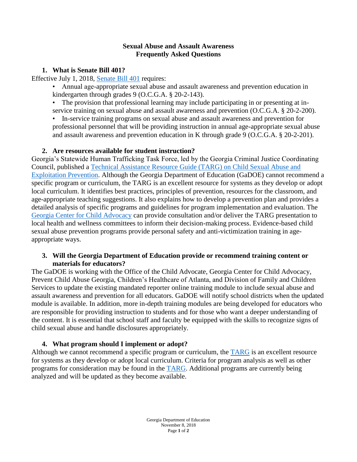#### **Sexual Abuse and Assault Awareness Frequently Asked Questions**

### **1. What is Senate Bill 401?**

Effective July 1, 2018, [Senate Bill 401](https://gov.georgia.gov/sites/gov.georgia.gov/files/related_files/document/SB401.2018.pdf) requires:

• Annual age-appropriate sexual abuse and assault awareness and prevention education in kindergarten through grades 9 (O.C.G.A. § 20-2-143).

• The provision that professional learning may include participating in or presenting at inservice training on sexual abuse and assault awareness and prevention (O.C.G.A. § 20-2-200).

• In-service training programs on sexual abuse and assault awareness and prevention for professional personnel that will be providing instruction in annual age-appropriate sexual abuse and assault awareness and prevention education in K through grade 9 (O.C.G.A. § 20-2-201).

# **2. Are resources available for student instruction?**

Georgia's Statewide Human Trafficking Task Force, led by the Georgia Criminal Justice Coordinating Council, published a [Technical Assistance Resource Guide \(TARG\) on Child Sexual Abuse and](https://abuse.publichealth.gsu.edu/targ/)  [Exploitation Prevention.](https://abuse.publichealth.gsu.edu/targ/) Although the Georgia Department of Education (GaDOE) cannot recommend a specific program or curriculum, the TARG is an excellent resource for systems as they develop or adopt local curriculum. It identifies best practices, principles of prevention, resources for the classroom, and age-appropriate teaching suggestions. It also explains how to develop a prevention plan and provides a detailed analysis of specific programs and guidelines for program implementation and evaluation. The [Georgia Center for Child Advocacy](http://georgiacenterforchildadvocacy.org/learn-more/resources/child-sexual-abuse-and-exploitation-prevention-resource-guide.html) can provide consultation and/or deliver the TARG presentation to local health and wellness committees to inform their decision-making process. Evidence-based child sexual abuse prevention programs provide personal safety and anti-victimization training in ageappropriate ways.

### **3. Will the Georgia Department of Education provide or recommend training content or materials for educators?**

The GaDOE is working with the Office of the Child Advocate, Georgia Center for Child Advocacy, Prevent Child Abuse Georgia, Children's Healthcare of Atlanta, and Division of Family and Children Services to update the existing mandated reporter online training module to include sexual abuse and assault awareness and prevention for all educators. GaDOE will notify school districts when the updated module is available. In addition, more in-depth training modules are being developed for educators who are responsible for providing instruction to students and for those who want a deeper understanding of the content. It is essential that school staff and faculty be equipped with the skills to recognize signs of child sexual abuse and handle disclosures appropriately.

# **4. What program should I implement or adopt?**

Although we cannot recommend a specific program or curriculum, the [TARG](https://abuse.publichealth.gsu.edu/targ/) is an excellent resource for systems as they develop or adopt local curriculum. Criteria for program analysis as well as other programs for consideration may be found in the **TARG**. Additional programs are currently being analyzed and will be updated as they become available.